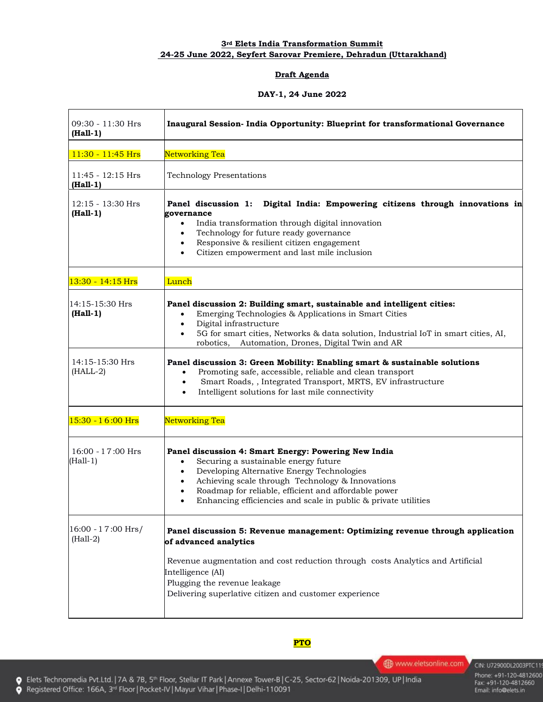## **3rd Elets India Transformation Summit 24-25 June 2022, Seyfert Sarovar Premiere, Dehradun (Uttarakhand)**

## **Draft Agenda**

## **DAY-1, 24 June 2022**

| 09:30 - 11:30 Hrs<br>$(Hall-1)$    | Inaugural Session- India Opportunity: Blueprint for transformational Governance                                                                                                                                                                                                                                                                                 |
|------------------------------------|-----------------------------------------------------------------------------------------------------------------------------------------------------------------------------------------------------------------------------------------------------------------------------------------------------------------------------------------------------------------|
| 11:30 - 11:45 Hrs                  | Networking Tea                                                                                                                                                                                                                                                                                                                                                  |
| $11:45 - 12:15$ Hrs<br>$(Hall-1)$  | <b>Technology Presentations</b>                                                                                                                                                                                                                                                                                                                                 |
| 12:15 - 13:30 Hrs<br>$(Hall-1)$    | Digital India: Empowering citizens through innovations in<br>Panel discussion 1:<br>governance<br>India transformation through digital innovation<br>$\bullet$<br>Technology for future ready governance<br>$\bullet$<br>Responsive & resilient citizen engagement<br>$\bullet$<br>Citizen empowerment and last mile inclusion<br>$\bullet$                     |
| $13:30 - 14:15$ Hrs                | Lunch                                                                                                                                                                                                                                                                                                                                                           |
| 14:15-15:30 Hrs<br>$(Hall-1)$      | Panel discussion 2: Building smart, sustainable and intelligent cities:<br>Emerging Technologies & Applications in Smart Cities<br>Digital infrastructure<br>$\bullet$<br>5G for smart cities, Networks & data solution, Industrial IoT in smart cities, AI,<br>robotics,<br>Automation, Drones, Digital Twin and AR                                            |
| 14:15-15:30 Hrs<br>$(HALL-2)$      | Panel discussion 3: Green Mobility: Enabling smart & sustainable solutions<br>Promoting safe, accessible, reliable and clean transport<br>$\bullet$<br>Smart Roads, , Integrated Transport, MRTS, EV infrastructure<br>$\bullet$<br>Intelligent solutions for last mile connectivity                                                                            |
| $15:30 - 16:00$ Hrs                | Networking Tea                                                                                                                                                                                                                                                                                                                                                  |
| $16:00 - 17:00$ Hrs<br>(Hall-1)    | Panel discussion 4: Smart Energy: Powering New India<br>Securing a sustainable energy future<br>$\bullet$<br>Developing Alternative Energy Technologies<br>Achieving scale through Technology & Innovations<br>$\bullet$<br>Roadmap for reliable, efficient and affordable power<br>$\bullet$<br>Enhancing efficiencies and scale in public & private utilities |
| $16:00 - 17:00$ Hrs/<br>$(Hall-2)$ | Panel discussion 5: Revenue management: Optimizing revenue through application<br>of advanced analytics<br>Revenue augmentation and cost reduction through costs Analytics and Artificial<br>Intelligence (AI)<br>Plugging the revenue leakage<br>Delivering superlative citizen and customer experience                                                        |

**PTO**

www.eletsonline.com

Phone: +91-120-4812600<br>Fax: +91-120-4812660<br>Email: info@elets.in

CIN: U72900DL2003PTC11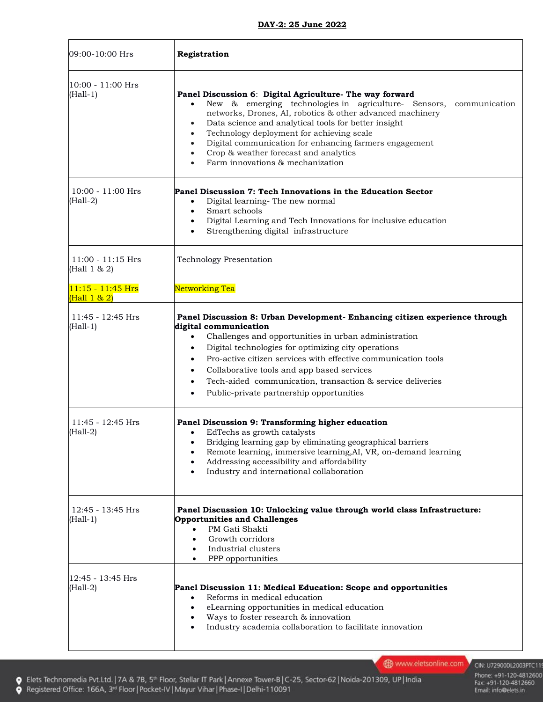| 09:00-10:00 Hrs                     | Registration                                                                                                                                                                                                                                                                                                                                                                                                                                                                                                                |
|-------------------------------------|-----------------------------------------------------------------------------------------------------------------------------------------------------------------------------------------------------------------------------------------------------------------------------------------------------------------------------------------------------------------------------------------------------------------------------------------------------------------------------------------------------------------------------|
| 10:00 - 11:00 Hrs<br>$(Hall-1)$     | Panel Discussion 6: Digital Agriculture- The way forward<br>New & emerging technologies in agriculture- Sensors, communication<br>$\bullet$<br>networks, Drones, AI, robotics & other advanced machinery<br>Data science and analytical tools for better insight<br>$\bullet$<br>Technology deployment for achieving scale<br>$\bullet$<br>Digital communication for enhancing farmers engagement<br>$\bullet$<br>Crop & weather forecast and analytics<br>Farm innovations & mechanization                                 |
| $10:00 - 11:00$ Hrs<br>$(Hall-2)$   | Panel Discussion 7: Tech Innovations in the Education Sector<br>Digital learning- The new normal<br>$\bullet$<br>Smart schools<br>$\bullet$<br>Digital Learning and Tech Innovations for inclusive education<br>$\bullet$<br>Strengthening digital infrastructure                                                                                                                                                                                                                                                           |
| $11:00 - 11:15$ Hrs<br>(Hall 1 & 2) | <b>Technology Presentation</b>                                                                                                                                                                                                                                                                                                                                                                                                                                                                                              |
| $11:15 - 11:45$ Hrs<br>(Hall 1 & 2) | Networking Tea                                                                                                                                                                                                                                                                                                                                                                                                                                                                                                              |
| $11:45 - 12:45$ Hrs<br>$(Hall-1)$   | Panel Discussion 8: Urban Development- Enhancing citizen experience through<br>digital communication<br>Challenges and opportunities in urban administration<br>$\bullet$<br>Digital technologies for optimizing city operations<br>$\bullet$<br>Pro-active citizen services with effective communication tools<br>$\bullet$<br>Collaborative tools and app based services<br>$\bullet$<br>Tech-aided communication, transaction & service deliveries<br>$\bullet$<br>Public-private partnership opportunities<br>$\bullet$ |
| 11:45 - 12:45 Hrs<br>$(Hall-2)$     | Panel Discussion 9: Transforming higher education<br>EdTechs as growth catalysts<br>$\bullet$<br>Bridging learning gap by eliminating geographical barriers<br>Remote learning, immersive learning, AI, VR, on-demand learning<br>Addressing accessibility and affordability<br>Industry and international collaboration                                                                                                                                                                                                    |
| $12:45 - 13:45$ Hrs<br>(Hall-1)     | Panel Discussion 10: Unlocking value through world class Infrastructure:<br><b>Opportunities and Challenges</b><br>PM Gati Shakti<br>Growth corridors<br>Industrial clusters<br>$\bullet$<br>PPP opportunities<br>$\bullet$                                                                                                                                                                                                                                                                                                 |
| 12:45 - 13:45 Hrs<br>$(Hall-2)$     | Panel Discussion 11: Medical Education: Scope and opportunities<br>Reforms in medical education<br>$\bullet$<br>eLearning opportunities in medical education<br>$\bullet$<br>Ways to foster research & innovation<br>$\bullet$<br>Industry academia collaboration to facilitate innovation<br>$\bullet$                                                                                                                                                                                                                     |

www.eletsonline.com

CIN: U72900DL2003PTC11